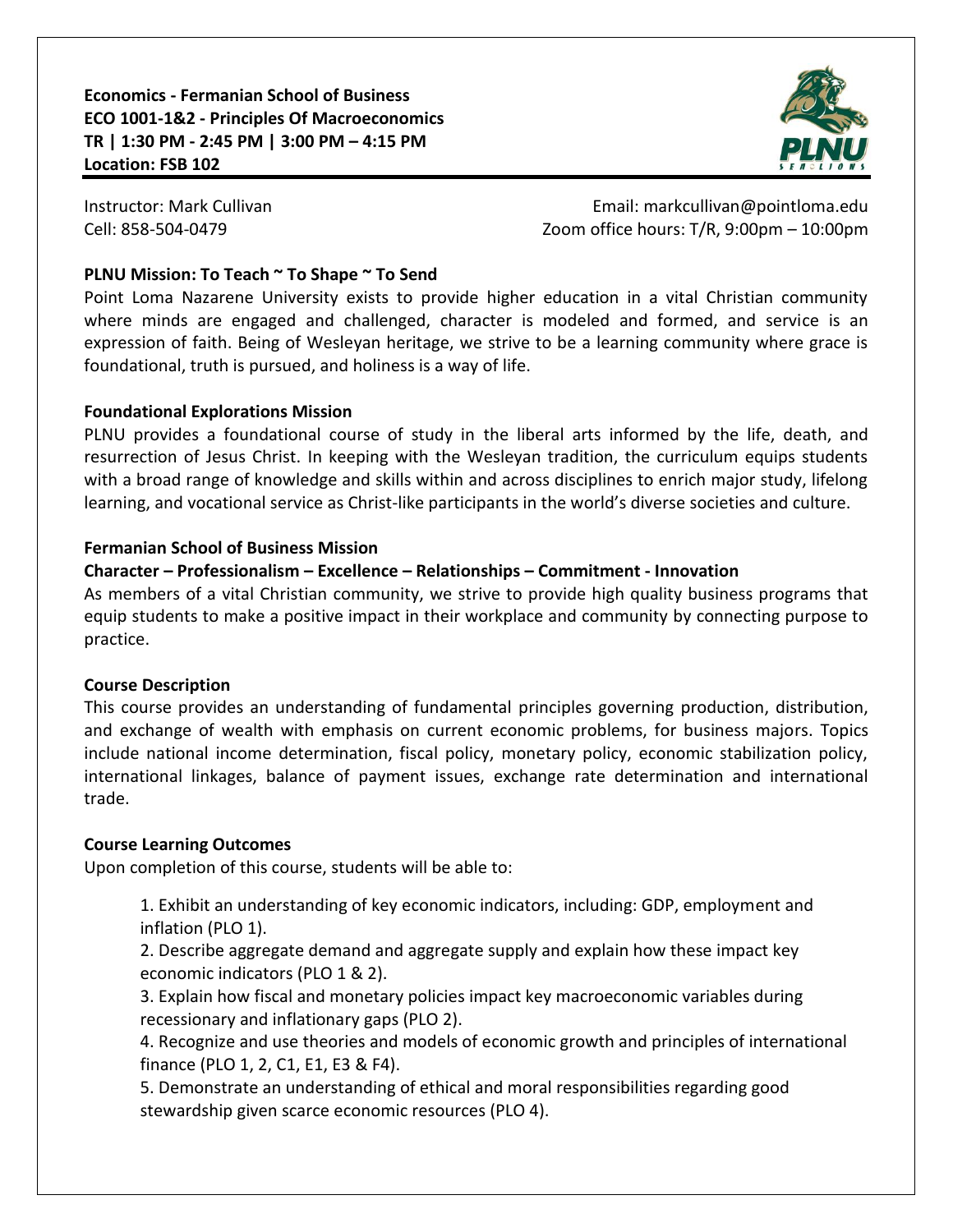**Economics - Fermanian School of Business ECO 1001-1&2 - Principles Of Macroeconomics TR | 1:30 PM - 2:45 PM | 3:00 PM – 4:15 PM Location: FSB 102**



Instructor: Mark Cullivan **Email: markcullivan@pointloma.edu** Cell: 858-504-0479 Zoom office hours: T/R, 9:00pm – 10:00pm

## **PLNU Mission: To Teach ~ To Shape ~ To Send**

Point Loma Nazarene University exists to provide higher education in a vital Christian community where minds are engaged and challenged, character is modeled and formed, and service is an expression of faith. Being of Wesleyan heritage, we strive to be a learning community where grace is foundational, truth is pursued, and holiness is a way of life.

## **Foundational Explorations Mission**

PLNU provides a foundational course of study in the liberal arts informed by the life, death, and resurrection of Jesus Christ. In keeping with the Wesleyan tradition, the curriculum equips students with a broad range of knowledge and skills within and across disciplines to enrich major study, lifelong learning, and vocational service as Christ-like participants in the world's diverse societies and culture.

## **Fermanian School of Business Mission**

## **Character – Professionalism – Excellence – Relationships – Commitment - Innovation**

As members of a vital Christian community, we strive to provide high quality business programs that equip students to make a positive impact in their workplace and community by connecting purpose to practice.

# **Course Description**

This course provides an understanding of fundamental principles governing production, distribution, and exchange of wealth with emphasis on current economic problems, for business majors. Topics include national income determination, fiscal policy, monetary policy, economic stabilization policy, international linkages, balance of payment issues, exchange rate determination and international trade.

# **Course Learning Outcomes**

Upon completion of this course, students will be able to:

1. Exhibit an understanding of key economic indicators, including: GDP, employment and inflation (PLO 1).

2. Describe aggregate demand and aggregate supply and explain how these impact key economic indicators (PLO 1 & 2).

3. Explain how fiscal and monetary policies impact key macroeconomic variables during recessionary and inflationary gaps (PLO 2).

4. Recognize and use theories and models of economic growth and principles of international finance (PLO 1, 2, C1, E1, E3 & F4).

5. Demonstrate an understanding of ethical and moral responsibilities regarding good stewardship given scarce economic resources (PLO 4).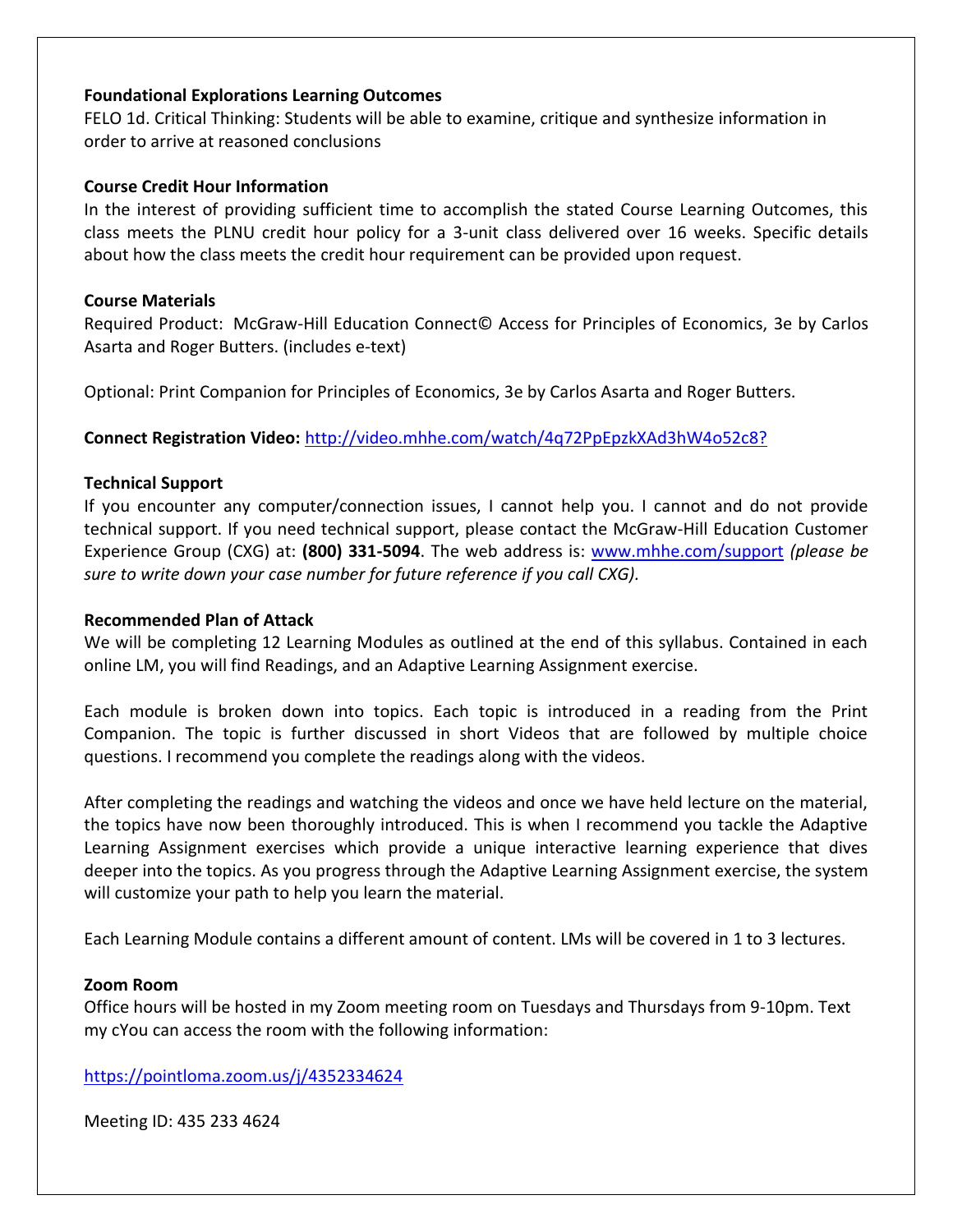## **Foundational Explorations Learning Outcomes**

FELO 1d. Critical Thinking: Students will be able to examine, critique and synthesize information in order to arrive at reasoned conclusions

### **Course Credit Hour Information**

In the interest of providing sufficient time to accomplish the stated Course Learning Outcomes, this class meets the PLNU credit hour policy for a 3-unit class delivered over 16 weeks. Specific details about how the class meets the credit hour requirement can be provided upon request.

### **Course Materials**

Required Product: McGraw-Hill Education Connect© Access for Principles of Economics, 3e by Carlos Asarta and Roger Butters. (includes e-text)

Optional: Print Companion for Principles of Economics, 3e by Carlos Asarta and Roger Butters.

**Connect Registration Video:** <http://video.mhhe.com/watch/4q72PpEpzkXAd3hW4o52c8?>

## **Technical Support**

If you encounter any computer/connection issues, I cannot help you. I cannot and do not provide technical support. If you need technical support, please contact the McGraw-Hill Education Customer Experience Group (CXG) at: **(800) 331-5094**. The web address is: [www.mhhe.com/support](http://www.mhhe.com/support) *(please be sure to write down your case number for future reference if you call CXG).*

#### **Recommended Plan of Attack**

We will be completing 12 Learning Modules as outlined at the end of this syllabus. Contained in each online LM, you will find Readings, and an Adaptive Learning Assignment exercise.

Each module is broken down into topics. Each topic is introduced in a reading from the Print Companion. The topic is further discussed in short Videos that are followed by multiple choice questions. I recommend you complete the readings along with the videos.

After completing the readings and watching the videos and once we have held lecture on the material, the topics have now been thoroughly introduced. This is when I recommend you tackle the Adaptive Learning Assignment exercises which provide a unique interactive learning experience that dives deeper into the topics. As you progress through the Adaptive Learning Assignment exercise, the system will customize your path to help you learn the material.

Each Learning Module contains a different amount of content. LMs will be covered in 1 to 3 lectures.

#### **Zoom Room**

Office hours will be hosted in my Zoom meeting room on Tuesdays and Thursdays from 9-10pm. Text my cYou can access the room with the following information:

<https://pointloma.zoom.us/j/4352334624>

Meeting ID: 435 233 4624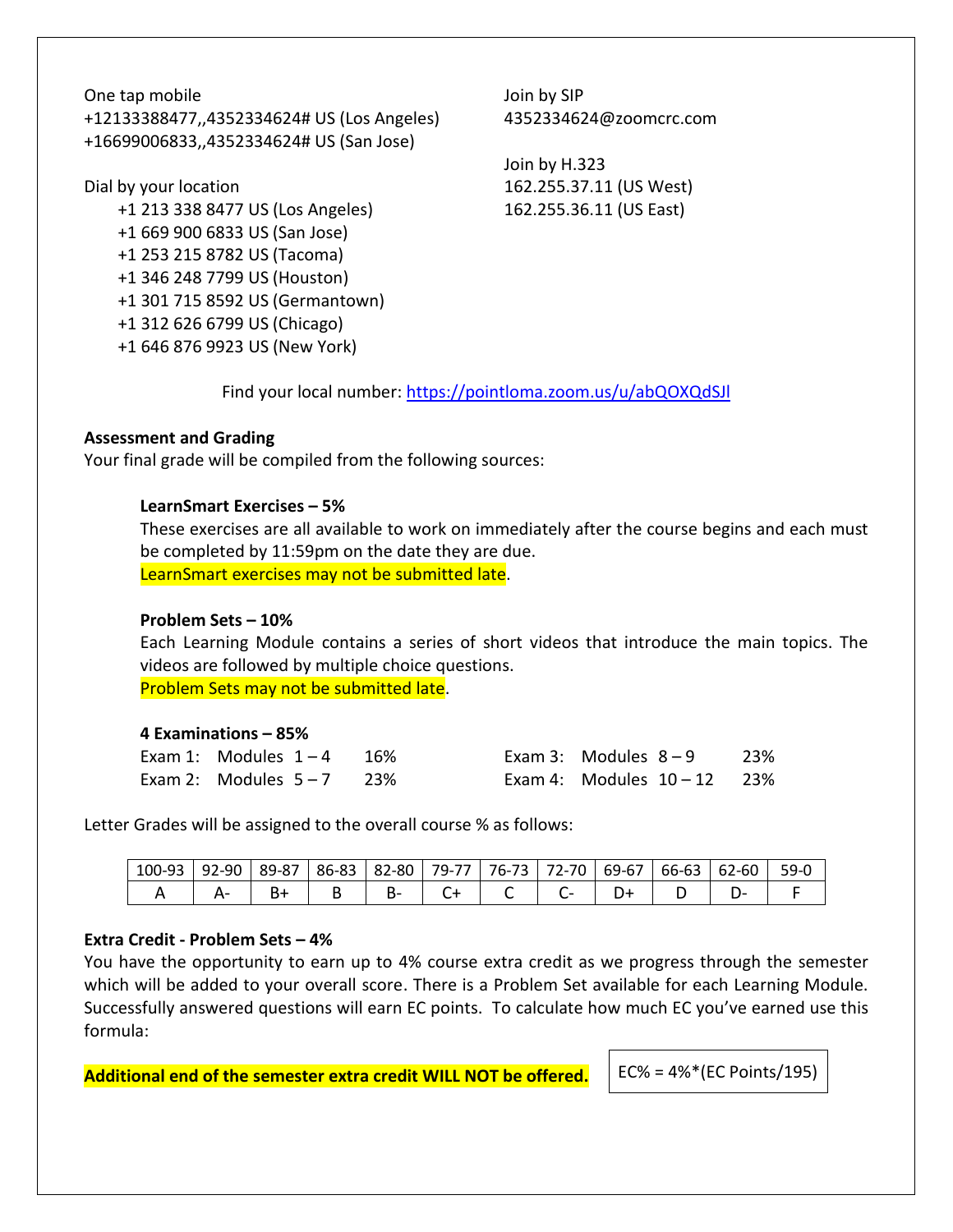One tap mobile +12133388477,,4352334624# US (Los Angeles) +16699006833,,4352334624# US (San Jose)

Dial by your location

 +1 213 338 8477 US (Los Angeles) +1 669 900 6833 US (San Jose) +1 253 215 8782 US (Tacoma) +1 346 248 7799 US (Houston) +1 301 715 8592 US (Germantown) +1 312 626 6799 US (Chicago) +1 646 876 9923 US (New York)

Join by SIP 4352334624@zoomcrc.com

Join by H.323 162.255.37.11 (US West) 162.255.36.11 (US East)

Find your local number:<https://pointloma.zoom.us/u/abQOXQdSJl>

## **Assessment and Grading**

Your final grade will be compiled from the following sources:

## **LearnSmart Exercises – 5%**

These exercises are all available to work on immediately after the course begins and each must be completed by 11:59pm on the date they are due. LearnSmart exercises may not be submitted late.

## **Problem Sets – 10%**

Each Learning Module contains a series of short videos that introduce the main topics. The videos are followed by multiple choice questions. Problem Sets may not be submitted late.

## **4 Examinations – 85%**

| Exam 1: Modules $1-4$ 16% |  | Exam 3: Modules $8-9$ 23%     |  |
|---------------------------|--|-------------------------------|--|
| Exam 2: Modules $5-7$ 23% |  | Exam 4: Modules $10 - 12$ 23% |  |

Letter Grades will be assigned to the overall course % as follows:

| 100-93 | $\sim$<br>۵۵- ر<br>ч | 89-87 | 86-83 | 82-80 | 79-77 | $-$<br>$16 - 13$ | $ \sim$<br>70<br>72-,    | $\sim$<br>69-6, | $\sim$<br>$\sim$<br><b>bb-b3</b> | 62-60 | 59- |
|--------|----------------------|-------|-------|-------|-------|------------------|--------------------------|-----------------|----------------------------------|-------|-----|
|        |                      | ັ     |       | D-    |       |                  | $\overline{\phantom{0}}$ |                 |                                  | .     |     |

# **Extra Credit - Problem Sets – 4%**

You have the opportunity to earn up to 4% course extra credit as we progress through the semester which will be added to your overall score. There is a Problem Set available for each Learning Module. Successfully answered questions will earn EC points. To calculate how much EC you've earned use this formula:

**Additional end of the semester extra credit WILL NOT be offered.** FEC% = 4%\*(EC Points/195)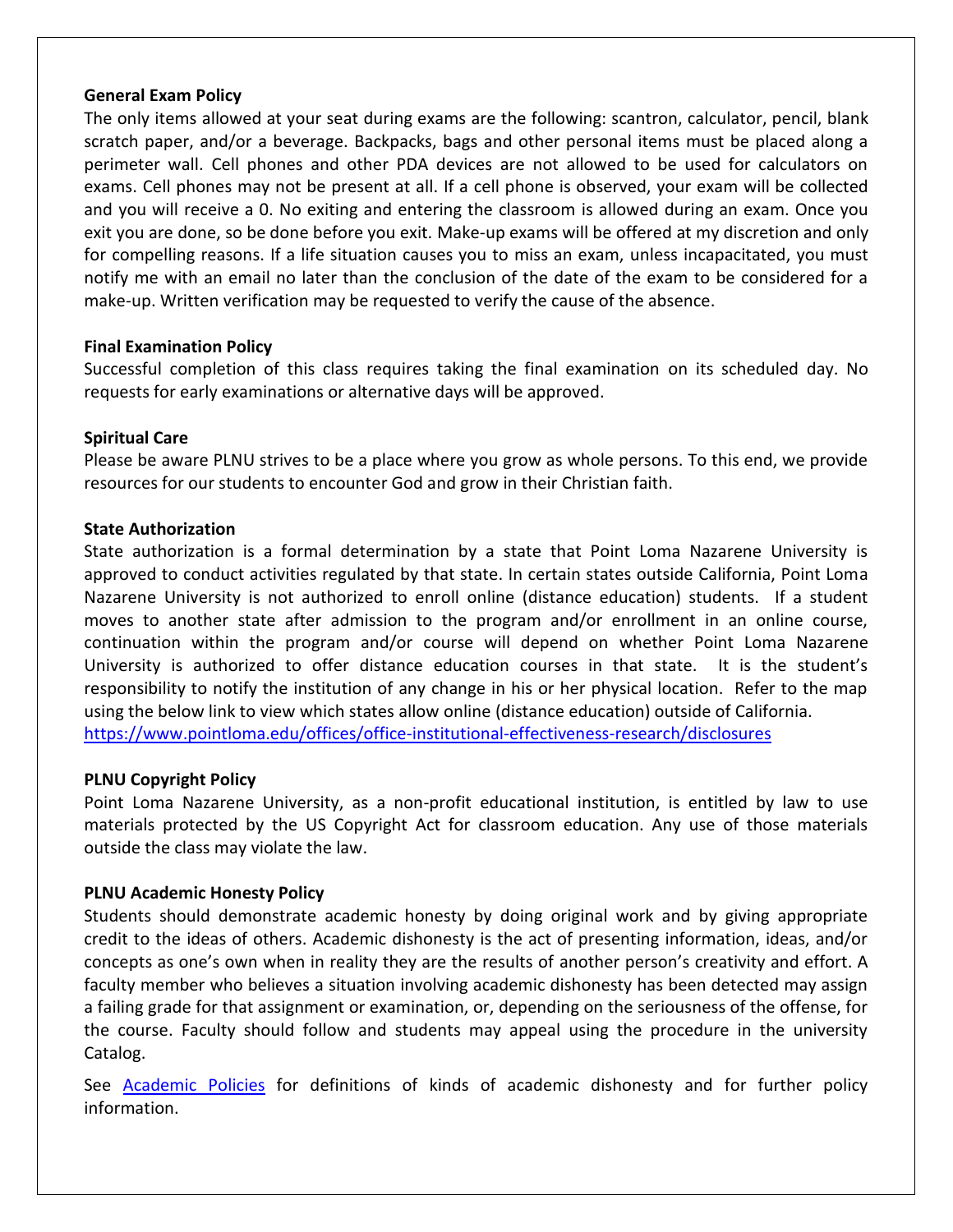### **General Exam Policy**

The only items allowed at your seat during exams are the following: scantron, calculator, pencil, blank scratch paper, and/or a beverage. Backpacks, bags and other personal items must be placed along a perimeter wall. Cell phones and other PDA devices are not allowed to be used for calculators on exams. Cell phones may not be present at all. If a cell phone is observed, your exam will be collected and you will receive a 0. No exiting and entering the classroom is allowed during an exam. Once you exit you are done, so be done before you exit. Make-up exams will be offered at my discretion and only for compelling reasons. If a life situation causes you to miss an exam, unless incapacitated, you must notify me with an email no later than the conclusion of the date of the exam to be considered for a make-up. Written verification may be requested to verify the cause of the absence.

## **Final Examination Policy**

Successful completion of this class requires taking the final examination on its scheduled day. No requests for early examinations or alternative days will be approved.

## **Spiritual Care**

Please be aware PLNU strives to be a place where you grow as whole persons. To this end, we provide resources for our students to encounter God and grow in their Christian faith.

## **State Authorization**

State authorization is a formal determination by a state that Point Loma Nazarene University is approved to conduct activities regulated by that state. In certain states outside California, Point Loma Nazarene University is not authorized to enroll online (distance education) students. If a student moves to another state after admission to the program and/or enrollment in an online course, continuation within the program and/or course will depend on whether Point Loma Nazarene University is authorized to offer distance education courses in that state. It is the student's responsibility to notify the institution of any change in his or her physical location. Refer to the map using the below link to view which states allow online (distance education) outside of California. <https://www.pointloma.edu/offices/office-institutional-effectiveness-research/disclosures>

## **PLNU Copyright Policy**

Point Loma Nazarene University, as a non-profit educational institution, is entitled by law to use materials protected by the US Copyright Act for classroom education. Any use of those materials outside the class may violate the law.

# **PLNU Academic Honesty Policy**

Students should demonstrate academic honesty by doing original work and by giving appropriate credit to the ideas of others. Academic dishonesty is the act of presenting information, ideas, and/or concepts as one's own when in reality they are the results of another person's creativity and effort. A faculty member who believes a situation involving academic dishonesty has been detected may assign a failing grade for that assignment or examination, or, depending on the seriousness of the offense, for the course. Faculty should follow and students may appeal using the procedure in the university Catalog.

See [Academic Policies](https://catalog.pointloma.edu/content.php?catoid=52&navoid=2919#Academic_Honesty) for definitions of kinds of academic dishonesty and for further policy information.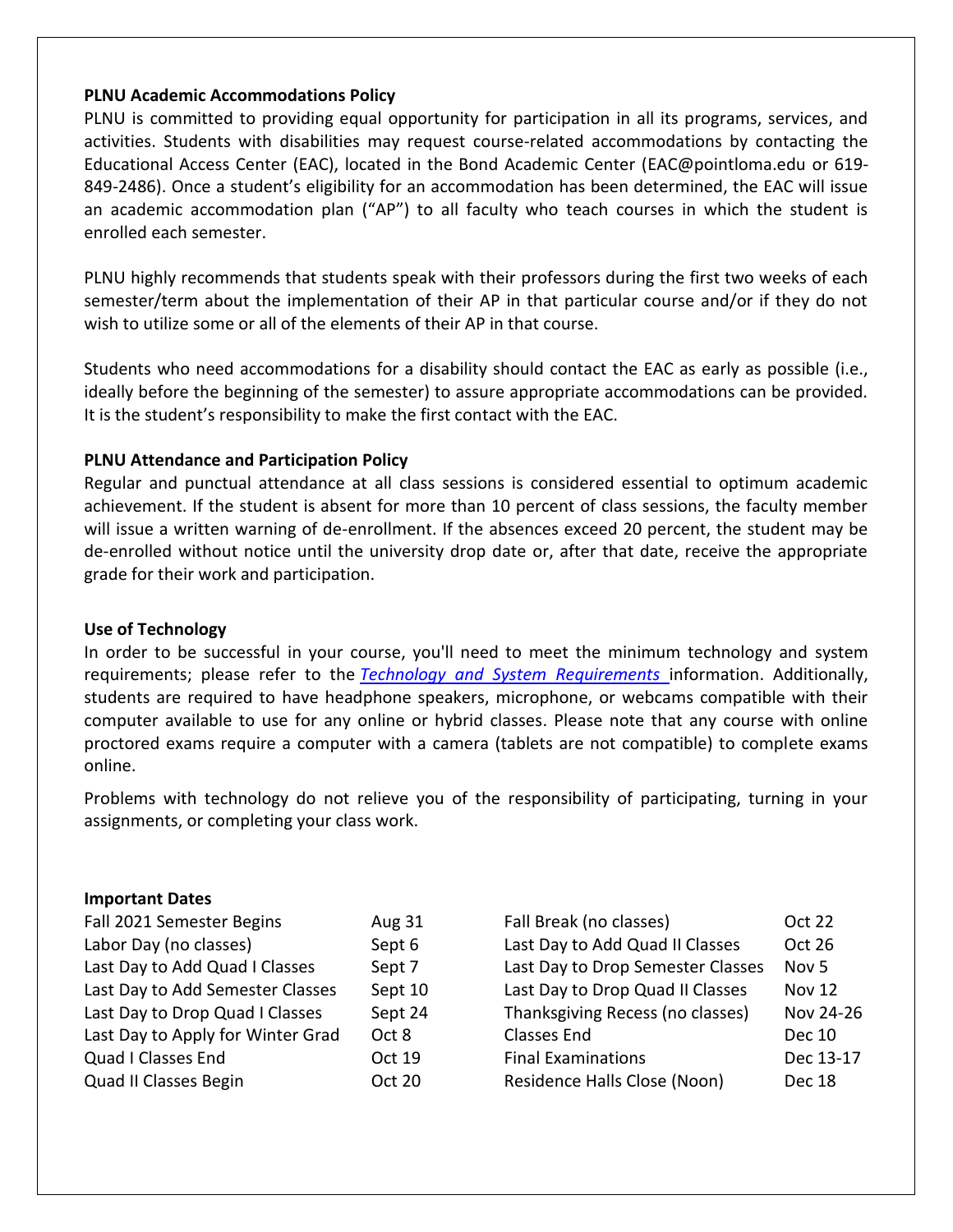### **PLNU Academic Accommodations Policy**

PLNU is committed to providing equal opportunity for participation in all its programs, services, and activities. Students with disabilities may request course-related accommodations by contacting the Educational Access Center (EAC), located in the Bond Academic Center [\(EAC@pointloma.edu](mailto:EAC@pointloma.edu) or 619- 849-2486). Once a student's eligibility for an accommodation has been determined, the EAC will issue an academic accommodation plan ("AP") to all faculty who teach courses in which the student is enrolled each semester.

PLNU highly recommends that students speak with their professors during the first two weeks of each semester/term about the implementation of their AP in that particular course and/or if they do not wish to utilize some or all of the elements of their AP in that course.

Students who need accommodations for a disability should contact the EAC as early as possible (i.e., ideally before the beginning of the semester) to assure appropriate accommodations can be provided. It is the student's responsibility to make the first contact with the EAC.

## **PLNU Attendance and Participation Policy**

Regular and punctual attendance at all class sessions is considered essential to optimum academic achievement. If the student is absent for more than 10 percent of class sessions, the faculty member will issue a written warning of de-enrollment. If the absences exceed 20 percent, the student may be de-enrolled without notice until the university drop date or, after that date, receive the appropriate grade for their work and participation.

## **Use of Technology**

In order to be successful in your course, you'll need to meet the minimum technology and system requirements; please refer to the *[Technology and System Requirements](https://help.pointloma.edu/TDClient/1808/Portal/KB/ArticleDet?ID=108349)* information. Additionally, students are required to have headphone speakers, microphone, or webcams compatible with their computer available to use for any online or hybrid classes. Please note that any course with online proctored exams require a computer with a camera (tablets are not compatible) to complete exams online.

Problems with technology do not relieve you of the responsibility of participating, turning in your assignments, or completing your class work.

#### **Important Dates**

| Fall 2021 Semester Begins         | <b>Aug 31</b> | Fall Break (no classes)           | <b>Oct 22</b>    |
|-----------------------------------|---------------|-----------------------------------|------------------|
| Labor Day (no classes)            | Sept 6        | Last Day to Add Quad II Classes   | Oct 26           |
| Last Day to Add Quad I Classes    | Sept 7        | Last Day to Drop Semester Classes | Nov <sub>5</sub> |
| Last Day to Add Semester Classes  | Sept 10       | Last Day to Drop Quad II Classes  | <b>Nov 12</b>    |
| Last Day to Drop Quad I Classes   | Sept 24       | Thanksgiving Recess (no classes)  | Nov 24-26        |
| Last Day to Apply for Winter Grad | Oct 8         | <b>Classes End</b>                | <b>Dec 10</b>    |
| Quad I Classes End                | Oct 19        | <b>Final Examinations</b>         | Dec 13-17        |
| Quad II Classes Begin             | <b>Oct 20</b> | Residence Halls Close (Noon)      | Dec 18           |
|                                   |               |                                   |                  |